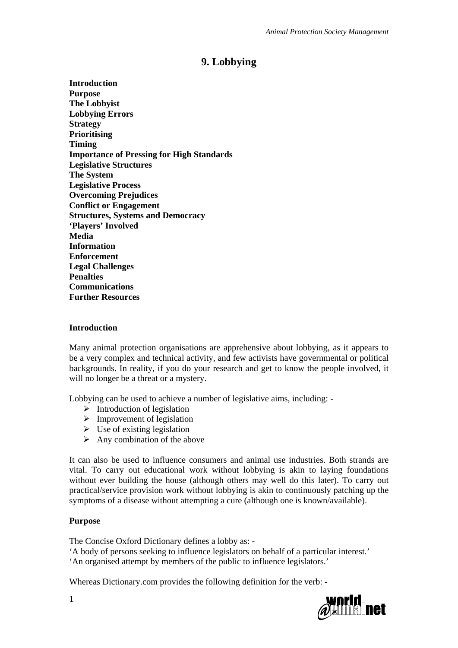# **9. Lobbying**

**Introduction Purpose The Lobbyist Lobbying Errors Strategy Prioritising Timing Importance of Pressing for High Standards Legislative Structures The System Legislative Process Overcoming Prejudices Conflict or Engagement Structures, Systems and Democracy 'Players' Involved Media Information Enforcement Legal Challenges Penalties Communications Further Resources** 

#### **Introduction**

Many animal protection organisations are apprehensive about lobbying, as it appears to be a very complex and technical activity, and few activists have governmental or political backgrounds. In reality, if you do your research and get to know the people involved, it will no longer be a threat or a mystery.

Lobbying can be used to achieve a number of legislative aims, including: -

- $\triangleright$  Introduction of legislation
- $\triangleright$  Improvement of legislation
- $\triangleright$  Use of existing legislation
- $\triangleright$  Any combination of the above

It can also be used to influence consumers and animal use industries. Both strands are vital. To carry out educational work without lobbying is akin to laying foundations without ever building the house (although others may well do this later). To carry out practical/service provision work without lobbying is akin to continuously patching up the symptoms of a disease without attempting a cure (although one is known/available).

#### **Purpose**

The Concise Oxford Dictionary defines a lobby as: - 'A body of persons seeking to influence legislators on behalf of a particular interest.' 'An organised attempt by members of the public to influence legislators.'

Whereas Dictionary.com provides the following definition for the verb: -



1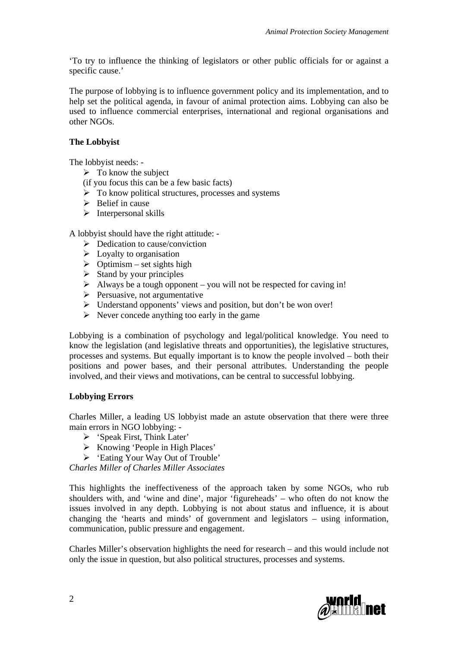'To try to influence the thinking of legislators or other public officials for or against a specific cause.'

The purpose of lobbying is to influence government policy and its implementation, and to help set the political agenda, in favour of animal protection aims. Lobbying can also be used to influence commercial enterprises, international and regional organisations and other NGOs.

# **The Lobbyist**

The lobbyist needs: -

- $\triangleright$  To know the subject
- (if you focus this can be a few basic facts)
- $\triangleright$  To know political structures, processes and systems
- $\triangleright$  Belief in cause
- $\triangleright$  Interpersonal skills

A lobbyist should have the right attitude: -

- $\triangleright$  Dedication to cause/conviction
- $\triangleright$  Loyalty to organisation
- $\triangleright$  Optimism set sights high
- $\triangleright$  Stand by your principles
- $\triangleright$  Always be a tough opponent you will not be respected for caving in!
- $\triangleright$  Persuasive, not argumentative
- Understand opponents' views and position, but don't be won over!
- $\triangleright$  Never concede anything too early in the game

Lobbying is a combination of psychology and legal/political knowledge. You need to know the legislation (and legislative threats and opportunities), the legislative structures, processes and systems. But equally important is to know the people involved – both their positions and power bases, and their personal attributes. Understanding the people involved, and their views and motivations, can be central to successful lobbying.

# **Lobbying Errors**

Charles Miller, a leading US lobbyist made an astute observation that there were three main errors in NGO lobbying: -

- 'Speak First, Think Later'
- $\triangleright$  Knowing 'People in High Places'
- 'Eating Your Way Out of Trouble'

*Charles Miller of Charles Miller Associates* 

This highlights the ineffectiveness of the approach taken by some NGOs, who rub shoulders with, and 'wine and dine', major 'figureheads' – who often do not know the issues involved in any depth. Lobbying is not about status and influence, it is about changing the 'hearts and minds' of government and legislators – using information, communication, public pressure and engagement.

Charles Miller's observation highlights the need for research – and this would include not only the issue in question, but also political structures, processes and systems.

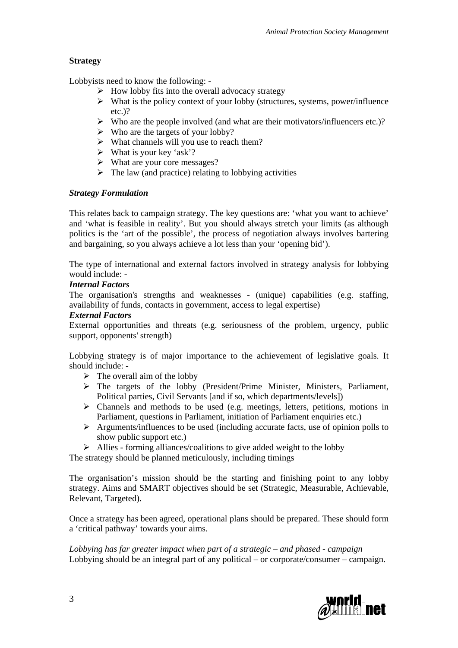# **Strategy**

Lobbyists need to know the following: -

- $\triangleright$  How lobby fits into the overall advocacy strategy
- $\triangleright$  What is the policy context of your lobby (structures, systems, power/influence etc.)?
- $\triangleright$  Who are the people involved (and what are their motivators/influencers etc.)?
- $\triangleright$  Who are the targets of your lobby?
- $\triangleright$  What channels will you use to reach them?
- $\triangleright$  What is your key 'ask'?
- What are your core messages?
- $\triangleright$  The law (and practice) relating to lobbying activities

### *Strategy Formulation*

This relates back to campaign strategy. The key questions are: 'what you want to achieve' and 'what is feasible in reality'. But you should always stretch your limits (as although politics is the 'art of the possible', the process of negotiation always involves bartering and bargaining, so you always achieve a lot less than your 'opening bid').

The type of international and external factors involved in strategy analysis for lobbying would include: -

# *Internal Factors*

The organisation's strengths and weaknesses - (unique) capabilities (e.g. staffing, availability of funds, contacts in government, access to legal expertise)

#### *External Factors*

External opportunities and threats (e.g. seriousness of the problem, urgency, public support, opponents' strength)

Lobbying strategy is of major importance to the achievement of legislative goals. It should include: -

- $\triangleright$  The overall aim of the lobby
- $\triangleright$  The targets of the lobby (President/Prime Minister, Ministers, Parliament, Political parties, Civil Servants [and if so, which departments/levels])
- $\triangleright$  Channels and methods to be used (e.g. meetings, letters, petitions, motions in Parliament, questions in Parliament, initiation of Parliament enquiries etc.)
- $\triangleright$  Arguments/influences to be used (including accurate facts, use of opinion polls to show public support etc.)
- $\triangleright$  Allies forming alliances/coalitions to give added weight to the lobby

The strategy should be planned meticulously, including timings

The organisation's mission should be the starting and finishing point to any lobby strategy. Aims and SMART objectives should be set (Strategic, Measurable, Achievable, Relevant, Targeted).

Once a strategy has been agreed, operational plans should be prepared. These should form a 'critical pathway' towards your aims.

*Lobbying has far greater impact when part of a strategic – and phased - campaign* Lobbying should be an integral part of any political – or corporate/consumer – campaign.

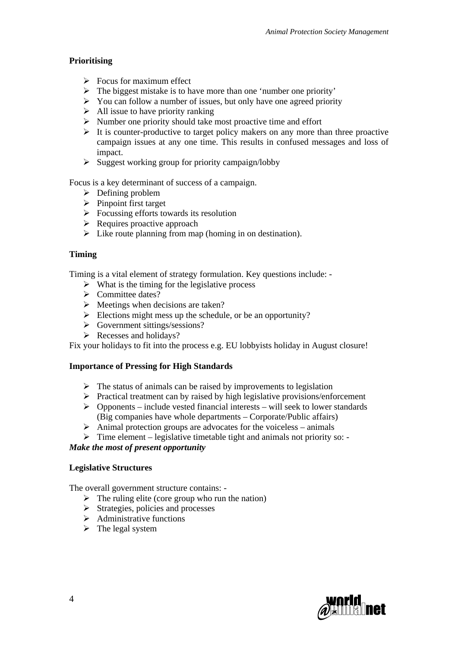# **Prioritising**

- $\triangleright$  Focus for maximum effect
- $\triangleright$  The biggest mistake is to have more than one 'number one priority'
- $\triangleright$  You can follow a number of issues, but only have one agreed priority
- $\triangleright$  All issue to have priority ranking
- $\triangleright$  Number one priority should take most proactive time and effort
- $\triangleright$  It is counter-productive to target policy makers on any more than three proactive campaign issues at any one time. This results in confused messages and loss of impact.
- $\triangleright$  Suggest working group for priority campaign/lobby

Focus is a key determinant of success of a campaign.

- $\triangleright$  Defining problem
- $\triangleright$  Pinpoint first target
- $\triangleright$  Focussing efforts towards its resolution
- $\triangleright$  Requires proactive approach
- $\triangleright$  Like route planning from map (homing in on destination).

# **Timing**

Timing is a vital element of strategy formulation. Key questions include: -

- $\triangleright$  What is the timing for the legislative process
- $\triangleright$  Committee dates?
- $\triangleright$  Meetings when decisions are taken?
- $\triangleright$  Elections might mess up the schedule, or be an opportunity?
- $\triangleright$  Government sittings/sessions?
- $\triangleright$  Recesses and holidays?

Fix your holidays to fit into the process e.g. EU lobbyists holiday in August closure!

# **Importance of Pressing for High Standards**

- $\triangleright$  The status of animals can be raised by improvements to legislation
- $\triangleright$  Practical treatment can by raised by high legislative provisions/enforcement
- $\triangleright$  Opponents include vested financial interests will seek to lower standards (Big companies have whole departments – Corporate/Public affairs)
- $\triangleright$  Animal protection groups are advocates for the voiceless animals
- $\triangleright$  Time element legislative timetable tight and animals not priority so: -

# *Make the most of present opportunity*

# **Legislative Structures**

The overall government structure contains: -

- $\triangleright$  The ruling elite (core group who run the nation)
- $\triangleright$  Strategies, policies and processes
- $\triangleright$  Administrative functions
- $\triangleright$  The legal system

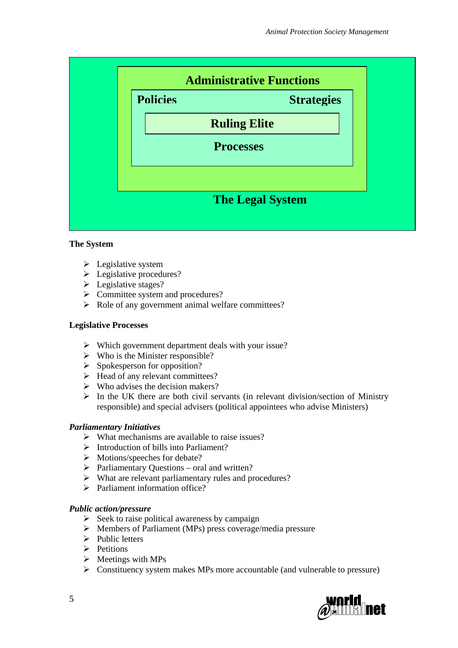

# **The System**

- $\triangleright$  Legislative system
- $\triangleright$  Legislative procedures?
- $\triangleright$  Legislative stages?
- $\triangleright$  Committee system and procedures?
- $\triangleright$  Role of any government animal welfare committees?

#### **Legislative Processes**

- Which government department deals with your issue?
- $\triangleright$  Who is the Minister responsible?
- $\triangleright$  Spokesperson for opposition?
- $\triangleright$  Head of any relevant committees?
- $\triangleright$  Who advises the decision makers?
- $\triangleright$  In the UK there are both civil servants (in relevant division/section of Ministry responsible) and special advisers (political appointees who advise Ministers)

#### *Parliamentary Initiatives*

- $\triangleright$  What mechanisms are available to raise issues?
- $\triangleright$  Introduction of bills into Parliament?
- > Motions/speeches for debate?
- $\triangleright$  Parliamentary Questions oral and written?
- What are relevant parliamentary rules and procedures?
- $\triangleright$  Parliament information office?

#### *Public action/pressure*

- $\triangleright$  Seek to raise political awareness by campaign
- Members of Parliament (MPs) press coverage/media pressure
- $\triangleright$  Public letters
- $\triangleright$  Petitions
- $\triangleright$  Meetings with MPs
- $\triangleright$  Constituency system makes MPs more accountable (and vulnerable to pressure)

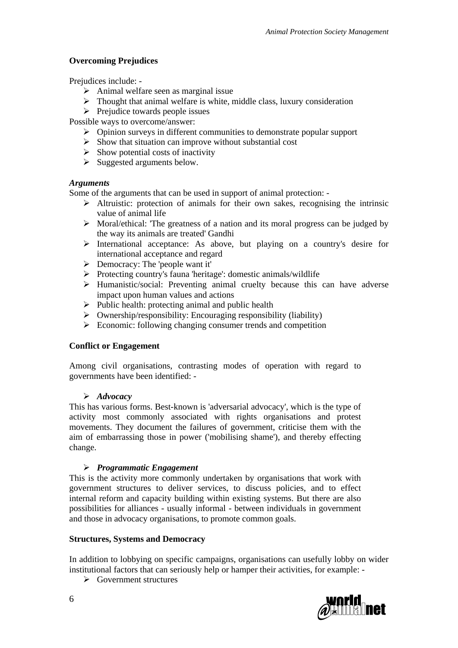# **Overcoming Prejudices**

Prejudices include: -

- $\triangleright$  Animal welfare seen as marginal issue
- $\triangleright$  Thought that animal welfare is white, middle class, luxury consideration
- $\triangleright$  Prejudice towards people issues

Possible ways to overcome/answer:

- Opinion surveys in different communities to demonstrate popular support
- $\triangleright$  Show that situation can improve without substantial cost
- $\triangleright$  Show potential costs of inactivity
- $\triangleright$  Suggested arguments below.

# *Arguments*

Some of the arguments that can be used in support of animal protection: -

- $\triangleright$  Altruistic: protection of animals for their own sakes, recognising the intrinsic value of animal life
- $\triangleright$  Moral/ethical: 'The greatness of a nation and its moral progress can be judged by the way its animals are treated' Gandhi
- $\triangleright$  International acceptance: As above, but playing on a country's desire for international acceptance and regard
- $\triangleright$  Democracy: The 'people want it'
- $\triangleright$  Protecting country's fauna 'heritage': domestic animals/wildlife
- $\triangleright$  Humanistic/social: Preventing animal cruelty because this can have adverse impact upon human values and actions
- $\triangleright$  Public health: protecting animal and public health
- $\triangleright$  Ownership/responsibility: Encouraging responsibility (liability)
- $\triangleright$  Economic: following changing consumer trends and competition

# **Conflict or Engagement**

Among civil organisations, contrasting modes of operation with regard to governments have been identified: -

# *Advocacy*

This has various forms. Best-known is 'adversarial advocacy', which is the type of activity most commonly associated with rights organisations and protest movements. They document the failures of government, criticise them with the aim of embarrassing those in power ('mobilising shame'), and thereby effecting change.

# *Programmatic Engagement*

This is the activity more commonly undertaken by organisations that work with government structures to deliver services, to discuss policies, and to effect internal reform and capacity building within existing systems. But there are also possibilities for alliances - usually informal - between individuals in government and those in advocacy organisations, to promote common goals.

# **Structures, Systems and Democracy**

In addition to lobbying on specific campaigns, organisations can usefully lobby on wider institutional factors that can seriously help or hamper their activities, for example: -

 $\triangleright$  Government structures

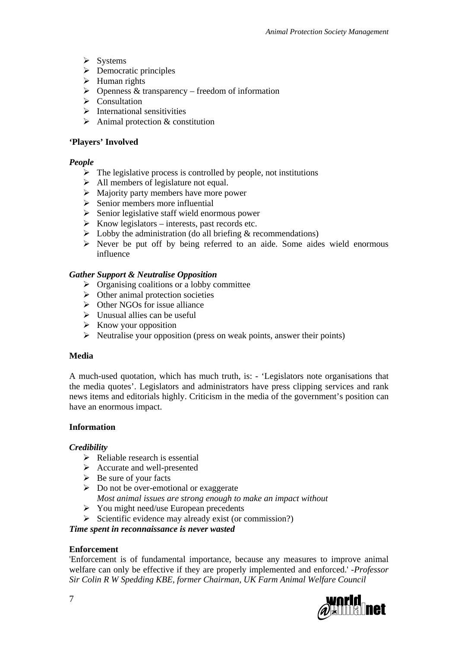- $\triangleright$  Systems
- $\triangleright$  Democratic principles
- $\triangleright$  Human rights
- $\triangleright$  Openness & transparency freedom of information
- $\triangleright$  Consultation
- $\triangleright$  International sensitivities
- $\triangleright$  Animal protection & constitution

### **'Players' Involved**

### *People*

- $\triangleright$  The legislative process is controlled by people, not institutions
- $\triangleright$  All members of legislature not equal.
- $\triangleright$  Majority party members have more power
- $\triangleright$  Senior members more influential
- $\triangleright$  Senior legislative staff wield enormous power
- $\triangleright$  Know legislators interests, past records etc.
- $\triangleright$  Lobby the administration (do all briefing & recommendations)
- $\triangleright$  Never be put off by being referred to an aide. Some aides wield enormous influence

### *Gather Support & Neutralise Opposition*

- $\triangleright$  Organising coalitions or a lobby committee
- $\triangleright$  Other animal protection societies
- $\triangleright$  Other NGOs for issue alliance
- $\triangleright$  Unusual allies can be useful
- $\triangleright$  Know your opposition
- $\triangleright$  Neutralise your opposition (press on weak points, answer their points)

#### **Media**

A much-used quotation, which has much truth, is: - 'Legislators note organisations that the media quotes'. Legislators and administrators have press clipping services and rank news items and editorials highly. Criticism in the media of the government's position can have an enormous impact.

# **Information**

#### *Credibility*

- $\triangleright$  Reliable research is essential
- Accurate and well-presented
- $\triangleright$  Be sure of your facts
- $\triangleright$  Do not be over-emotional or exaggerate
- *Most animal issues are strong enough to make an impact without*
- $\triangleright$  You might need/use European precedents
- $\triangleright$  Scientific evidence may already exist (or commission?)

*Time spent in reconnaissance is never wasted* 

# **Enforcement**

'Enforcement is of fundamental importance, because any measures to improve animal welfare can only be effective if they are properly implemented and enforced.' *-Professor Sir Colin R W Spedding KBE, former Chairman, UK Farm Animal Welfare Council* 

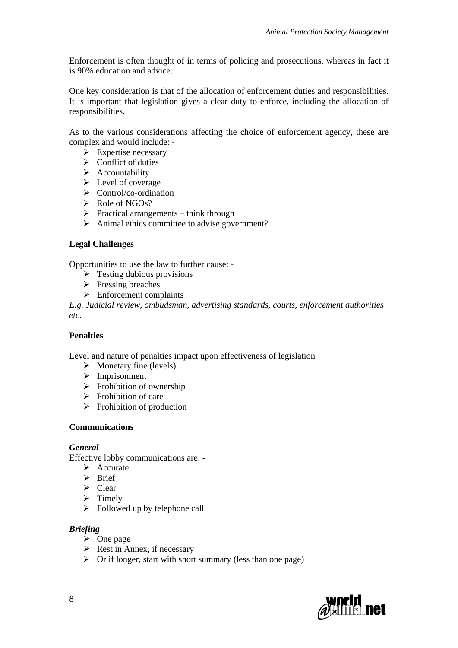Enforcement is often thought of in terms of policing and prosecutions, whereas in fact it is 90% education and advice.

One key consideration is that of the allocation of enforcement duties and responsibilities. It is important that legislation gives a clear duty to enforce, including the allocation of responsibilities.

As to the various considerations affecting the choice of enforcement agency, these are complex and would include: -

- $\triangleright$  Expertise necessary
- $\triangleright$  Conflict of duties
- $\triangleright$  Accountability
- $\triangleright$  Level of coverage
- $\triangleright$  Control/co-ordination
- $\triangleright$  Role of NGOs?
- $\triangleright$  Practical arrangements think through
- $\triangleright$  Animal ethics committee to advise government?

### **Legal Challenges**

Opportunities to use the law to further cause: -

- $\triangleright$  Testing dubious provisions
- $\triangleright$  Pressing breaches
- $\triangleright$  Enforcement complaints

*E.g. Judicial review, ombudsman, advertising standards, courts, enforcement authorities etc.* 

### **Penalties**

Level and nature of penalties impact upon effectiveness of legislation

- $\triangleright$  Monetary fine (levels)
- > Imprisonment
- $\triangleright$  Prohibition of ownership
- $\triangleright$  Prohibition of care
- $\triangleright$  Prohibition of production

#### **Communications**

#### *General*

Effective lobby communications are: -

- $\triangleright$  Accurate
- $\triangleright$  Rrief
- $\triangleright$  Clear
- $\triangleright$  Timely
- $\triangleright$  Followed up by telephone call

#### *Briefing*

- $\triangleright$  One page
- $\triangleright$  Rest in Annex, if necessary
- $\triangleright$  Or if longer, start with short summary (less than one page)

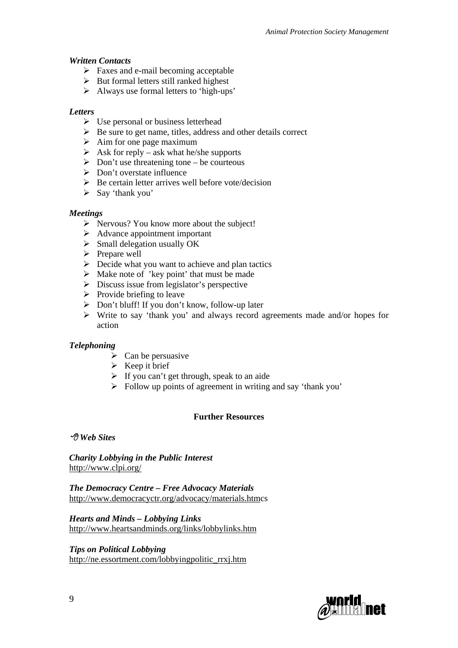### *Written Contacts*

- $\triangleright$  Faxes and e-mail becoming acceptable
- $\triangleright$  But formal letters still ranked highest
- $\triangleright$  Always use formal letters to 'high-ups'

### *Letters*

- $\triangleright$  Use personal or business letterhead
- $\triangleright$  Be sure to get name, titles, address and other details correct
- $\triangleright$  Aim for one page maximum
- $\triangleright$  Ask for reply ask what he/she supports
- $\triangleright$  Don't use threatening tone be courteous
- $\triangleright$  Don't overstate influence
- $\triangleright$  Be certain letter arrives well before vote/decision
- $\triangleright$  Say 'thank you'

### *Meetings*

- $\triangleright$  Nervous? You know more about the subject!
- $\triangleright$  Advance appointment important
- $\triangleright$  Small delegation usually OK
- $\triangleright$  Prepare well
- $\triangleright$  Decide what you want to achieve and plan tactics
- $\triangleright$  Make note of 'key point' that must be made
- $\triangleright$  Discuss issue from legislator's perspective
- $\triangleright$  Provide briefing to leave
- $\triangleright$  Don't bluff! If you don't know, follow-up later
- Write to say 'thank you' and always record agreements made and/or hopes for action

# *Telephoning*

- $\triangleright$  Can be persuasive
- $\triangleright$  Keep it brief
- $\triangleright$  If you can't get through, speak to an aide
- $\triangleright$  Follow up points of agreement in writing and say 'thank you'

# **Further Resources**

 *Web Sites* 

*Charity Lobbying in the Public Interest*  <http://www.clpi.org/>

*The Democracy Centre – Free Advocacy Materials*  [http://www.democracyctr.org/advocacy/materials.htmc](http://www.democracyctr.org/advocacy/materials.htm)s

*Hearts and Minds – Lobbying Links*  <http://www.heartsandminds.org/links/lobbylinks.htm>

*Tips on Political Lobbying*  [http://ne.essortment.com/lobbyingpolitic\\_rrxj.htm](http://ne.essortment.com/lobbyingpolitic_rrxj.htm)